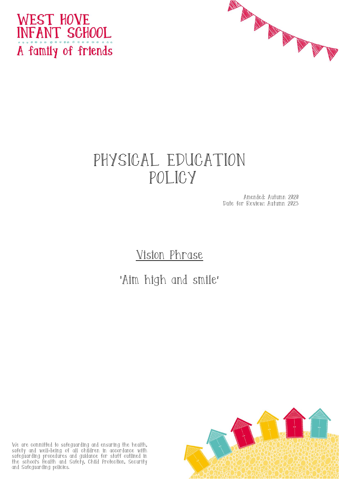



# PHYSICAL EDUCATION POLICY

Amended: Autumn 2020 Date for Review: Autumn 2023

## Vision Phrase

## 'Aim high and smile'

We are committed to safeguarding and ensuring the health, safety and well-being of all children in accordance with safeguarding procedures and guidance for staff outlined in the school's Health and Safety, Child Protection, Security and Safeguarding policies.

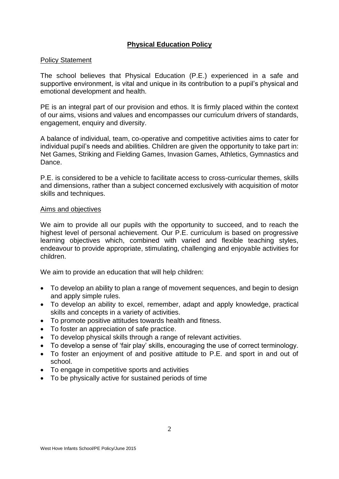## **Physical Education Policy**

#### Policy Statement

The school believes that Physical Education (P.E.) experienced in a safe and supportive environment, is vital and unique in its contribution to a pupil's physical and emotional development and health.

PE is an integral part of our provision and ethos. It is firmly placed within the context of our aims, visions and values and encompasses our curriculum drivers of standards, engagement, enquiry and diversity.

A balance of individual, team, co-operative and competitive activities aims to cater for individual pupil's needs and abilities. Children are given the opportunity to take part in: Net Games, Striking and Fielding Games, Invasion Games, Athletics, Gymnastics and Dance.

P.E. is considered to be a vehicle to facilitate access to cross-curricular themes, skills and dimensions, rather than a subject concerned exclusively with acquisition of motor skills and techniques.

#### Aims and objectives

We aim to provide all our pupils with the opportunity to succeed, and to reach the highest level of personal achievement. Our P.E. curriculum is based on progressive learning objectives which, combined with varied and flexible teaching styles, endeavour to provide appropriate, stimulating, challenging and enjoyable activities for children.

We aim to provide an education that will help children:

- To develop an ability to plan a range of movement sequences, and begin to design and apply simple rules.
- To develop an ability to excel, remember, adapt and apply knowledge, practical skills and concepts in a variety of activities.
- To promote positive attitudes towards health and fitness.
- To foster an appreciation of safe practice.
- To develop physical skills through a range of relevant activities.
- To develop a sense of 'fair play' skills, encouraging the use of correct terminology.
- To foster an enjoyment of and positive attitude to P.E. and sport in and out of school.
- To engage in competitive sports and activities
- To be physically active for sustained periods of time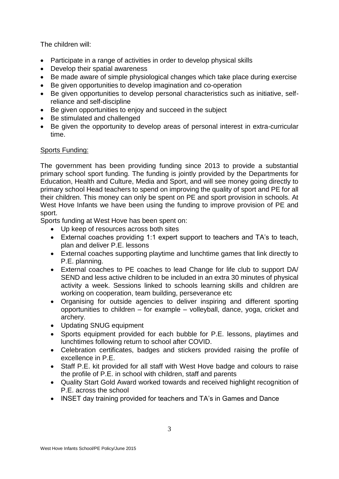The children will:

- Participate in a range of activities in order to develop physical skills
- Develop their spatial awareness
- Be made aware of simple physiological changes which take place during exercise
- Be given opportunities to develop imagination and co-operation
- Be given opportunities to develop personal characteristics such as initiative, selfreliance and self-discipline
- Be given opportunities to enjoy and succeed in the subject
- Be stimulated and challenged
- Be given the opportunity to develop areas of personal interest in extra-curricular time.

## Sports Funding:

The government has been providing funding since 2013 to provide a substantial primary school sport funding. The funding is jointly provided by the Departments for Education, Health and Culture, Media and Sport, and will see money going directly to primary school Head teachers to spend on improving the quality of sport and PE for all their children. This money can only be spent on PE and sport provision in schools. At West Hove Infants we have been using the funding to improve provision of PE and sport.

Sports funding at West Hove has been spent on:

- Up keep of resources across both sites
- External coaches providing 1:1 expert support to teachers and TA's to teach, plan and deliver P.E. lessons
- External coaches supporting playtime and lunchtime games that link directly to P.E. planning.
- External coaches to PE coaches to lead Change for life club to support DA/ SEND and less active children to be included in an extra 30 minutes of physical activity a week. Sessions linked to schools learning skills and children are working on cooperation, team building, perseverance etc
- Organising for outside agencies to deliver inspiring and different sporting opportunities to children – for example – volleyball, dance, yoga, cricket and archery.
- Updating SNUG equipment
- Sports equipment provided for each bubble for P.E. lessons, playtimes and lunchtimes following return to school after COVID.
- Celebration certificates, badges and stickers provided raising the profile of excellence in P.E.
- Staff P.E. kit provided for all staff with West Hove badge and colours to raise the profile of P.E. in school with children, staff and parents
- Quality Start Gold Award worked towards and received highlight recognition of P.E. across the school
- INSET day training provided for teachers and TA's in Games and Dance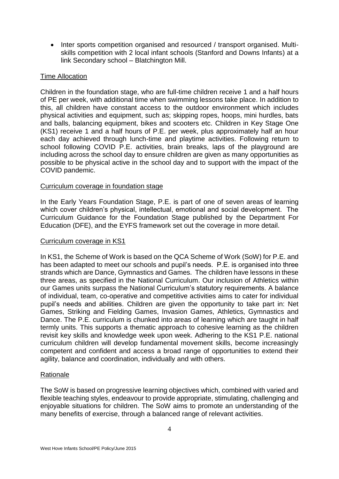• Inter sports competition organised and resourced / transport organised. Multiskills competition with 2 local infant schools (Stanford and Downs Infants) at a link Secondary school – Blatchington Mill.

## Time Allocation

Children in the foundation stage, who are full-time children receive 1 and a half hours of PE per week, with additional time when swimming lessons take place. In addition to this, all children have constant access to the outdoor environment which includes physical activities and equipment, such as; skipping ropes, hoops, mini hurdles, bats and balls, balancing equipment, bikes and scooters etc. Children in Key Stage One (KS1) receive 1 and a half hours of P.E. per week, plus approximately half an hour each day achieved through lunch-time and playtime activities. Following return to school following COVID P.E. activities, brain breaks, laps of the playground are including across the school day to ensure children are given as many opportunities as possible to be physical active in the school day and to support with the impact of the COVID pandemic.

## Curriculum coverage in foundation stage

In the Early Years Foundation Stage, P.E. is part of one of seven areas of learning which cover children's physical, intellectual, emotional and social development. The Curriculum Guidance for the Foundation Stage published by the Department For Education (DFE), and the EYFS framework set out the coverage in more detail.

#### Curriculum coverage in KS1

In KS1, the Scheme of Work is based on the QCA Scheme of Work (SoW) for P.E. and has been adapted to meet our schools and pupil's needs. P.E. is organised into three strands which are Dance, Gymnastics and Games. The children have lessons in these three areas, as specified in the National Curriculum. Our inclusion of Athletics within our Games units surpass the National Curriculum's statutory requirements. A balance of individual, team, co-operative and competitive activities aims to cater for individual pupil's needs and abilities. Children are given the opportunity to take part in: Net Games, Striking and Fielding Games, Invasion Games, Athletics, Gymnastics and Dance. The P.E. curriculum is chunked into areas of learning which are taught in half termly units. This supports a thematic approach to cohesive learning as the children revisit key skills and knowledge week upon week. Adhering to the KS1 P.E. national curriculum children will develop fundamental movement skills, become increasingly competent and confident and access a broad range of opportunities to extend their agility, balance and coordination, individually and with others.

## Rationale

The SoW is based on progressive learning objectives which, combined with varied and flexible teaching styles, endeavour to provide appropriate, stimulating, challenging and enjoyable situations for children. The SoW aims to promote an understanding of the many benefits of exercise, through a balanced range of relevant activities.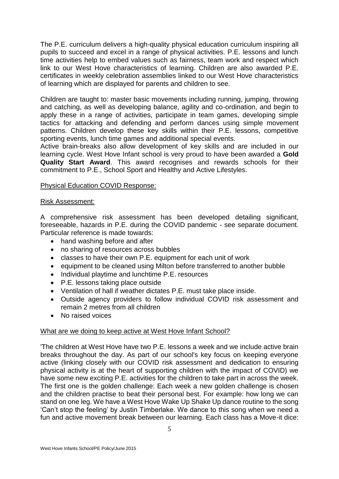The P.E. curriculum delivers a high-quality physical education curriculum inspiring all pupils to succeed and excel in a range of physical activities. P.E. lessons and lunch time activities help to embed values such as fairness, team work and respect which link to our West Hove characteristics of learning. Children are also awarded P.E. certificates in weekly celebration assemblies linked to our West Hove characteristics of learning which are displayed for parents and children to see.

Children are taught to: master basic movements including running, jumping, throwing and catching, as well as developing balance, agility and co-ordination, and begin to apply these in a range of activities, participate in team games, developing simple tactics for attacking and defending and perform dances using simple movement patterns. Children develop these key skills within their P.E. lessons, competitive sporting events, lunch time games and additional special events.

Active brain-breaks also allow development of key skills and are included in our learning cycle. West Hove Infant school is very proud to have been awarded a **Gold Quality Start Award**. This award recognises and rewards schools for their commitment to P.E., School Sport and Healthy and Active Lifestyles.

## Physical Education COVID Response:

#### Risk Assessment:

A comprehensive risk assessment has been developed detailing significant, foreseeable, hazards in P.E. during the COVID pandemic - see separate document. Particular reference is made towards:

- hand washing before and after
- no sharing of resources across bubbles
- classes to have their own P.E. equipment for each unit of work
- equipment to be cleaned using Milton before transferred to another bubble
- Individual playtime and lunchtime P.E. resources
- P.E. lessons taking place outside
- Ventilation of hall if weather dictates P.E. must take place inside.
- Outside agency providers to follow individual COVID risk assessment and remain 2 metres from all children
- No raised voices

## What are we doing to keep active at West Hove Infant School?

'The children at West Hove have two P.E. lessons a week and we include active brain breaks throughout the day. As part of our school's key focus on keeping everyone active (linking closely with our COVID risk assessment and dedication to ensuring physical activity is at the heart of supporting children with the impact of COVID) we have some new exciting P.E. activities for the children to take part in across the week. The first one is the golden challenge: Each week a new golden challenge is chosen and the children practise to beat their personal best. For example: how long we can stand on one leg. We have a West Hove Wake Up Shake Up dance routine to the song 'Can't stop the feeling' by Justin Timberlake. We dance to this song when we need a fun and active movement break between our learning. Each class has a Move-it dice: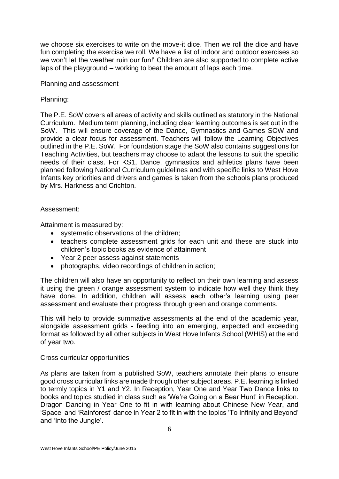we choose six exercises to write on the move-it dice. Then we roll the dice and have fun completing the exercise we roll. We have a list of indoor and outdoor exercises so we won't let the weather ruin our fun!' Children are also supported to complete active laps of the playground – working to beat the amount of laps each time.

#### Planning and assessment

## Planning:

The P.E. SoW covers all areas of activity and skills outlined as statutory in the National Curriculum. Medium term planning, including clear learning outcomes is set out in the SoW. This will ensure coverage of the Dance, Gymnastics and Games SOW and provide a clear focus for assessment. Teachers will follow the Learning Objectives outlined in the P.E. SoW. For foundation stage the SoW also contains suggestions for Teaching Activities, but teachers may choose to adapt the lessons to suit the specific needs of their class. For KS1, Dance, gymnastics and athletics plans have been planned following National Curriculum guidelines and with specific links to West Hove Infants key priorities and drivers and games is taken from the schools plans produced by Mrs. Harkness and Crichton.

## Assessment:

Attainment is measured by:

- systematic observations of the children;
- teachers complete assessment grids for each unit and these are stuck into children's topic books as evidence of attainment
- Year 2 peer assess against statements
- photographs, video recordings of children in action:

The children will also have an opportunity to reflect on their own learning and assess it using the green / orange assessment system to indicate how well they think they have done. In addition, children will assess each other's learning using peer assessment and evaluate their progress through green and orange comments.

This will help to provide summative assessments at the end of the academic year, alongside assessment grids - feeding into an emerging, expected and exceeding format as followed by all other subjects in West Hove Infants School (WHIS) at the end of year two.

## Cross curricular opportunities

As plans are taken from a published SoW, teachers annotate their plans to ensure good cross curricular links are made through other subject areas. P.E. learning is linked to termly topics in Y1 and Y2. In Reception, Year One and Year Two Dance links to books and topics studied in class such as 'We're Going on a Bear Hunt' in Reception. Dragon Dancing in Year One to fit in with learning about Chinese New Year, and 'Space' and 'Rainforest' dance in Year 2 to fit in with the topics 'To Infinity and Beyond' and 'Into the Jungle'.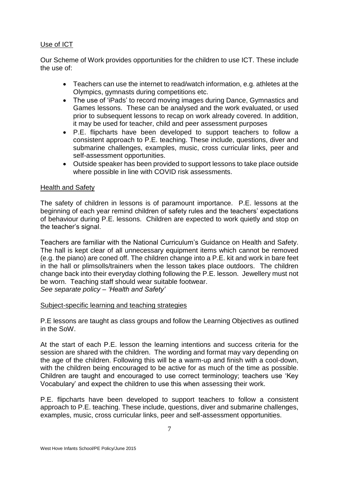## Use of ICT

Our Scheme of Work provides opportunities for the children to use ICT. These include the use of:

- Teachers can use the internet to read/watch information, e.g. athletes at the Olympics, gymnasts during competitions etc.
- The use of 'iPads' to record moving images during Dance, Gymnastics and Games lessons. These can be analysed and the work evaluated, or used prior to subsequent lessons to recap on work already covered. In addition, it may be used for teacher, child and peer assessment purposes
- P.E. flipcharts have been developed to support teachers to follow a consistent approach to P.E. teaching. These include, questions, diver and submarine challenges, examples, music, cross curricular links, peer and self-assessment opportunities.
- Outside speaker has been provided to support lessons to take place outside where possible in line with COVID risk assessments.

## Health and Safety

The safety of children in lessons is of paramount importance. P.E. lessons at the beginning of each year remind children of safety rules and the teachers' expectations of behaviour during P.E. lessons. Children are expected to work quietly and stop on the teacher's signal.

Teachers are familiar with the National Curriculum's Guidance on Health and Safety. The hall is kept clear of all unnecessary equipment items which cannot be removed (e.g. the piano) are coned off. The children change into a P.E. kit and work in bare feet in the hall or plimsolls/trainers when the lesson takes place outdoors. The children change back into their everyday clothing following the P.E. lesson. Jewellery must not be worn. Teaching staff should wear suitable footwear. *See separate policy – 'Health and Safety'*

## Subject-specific learning and teaching strategies

P.E lessons are taught as class groups and follow the Learning Objectives as outlined in the SoW.

At the start of each P.E. lesson the learning intentions and success criteria for the session are shared with the children. The wording and format may vary depending on the age of the children. Following this will be a warm-up and finish with a cool-down, with the children being encouraged to be active for as much of the time as possible. Children are taught and encouraged to use correct terminology; teachers use 'Key Vocabulary' and expect the children to use this when assessing their work.

P.E. flipcharts have been developed to support teachers to follow a consistent approach to P.E. teaching. These include, questions, diver and submarine challenges, examples, music, cross curricular links, peer and self-assessment opportunities.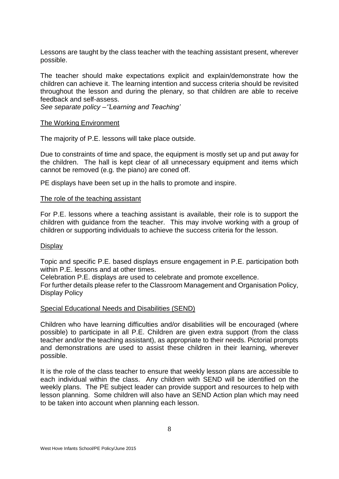Lessons are taught by the class teacher with the teaching assistant present, wherever possible.

The teacher should make expectations explicit and explain/demonstrate how the children can achieve it. The learning intention and success criteria should be revisited throughout the lesson and during the plenary, so that children are able to receive feedback and self-assess.

*See separate policy –''Learning and Teaching'*

#### The Working Environment

The majority of P.E. lessons will take place outside.

Due to constraints of time and space, the equipment is mostly set up and put away for the children. The hall is kept clear of all unnecessary equipment and items which cannot be removed (e.g. the piano) are coned off.

PE displays have been set up in the halls to promote and inspire.

#### The role of the teaching assistant

For P.E. lessons where a teaching assistant is available, their role is to support the children with guidance from the teacher. This may involve working with a group of children or supporting individuals to achieve the success criteria for the lesson.

#### **Display**

Topic and specific P.E. based displays ensure engagement in P.E. participation both within P.E. lessons and at other times.

Celebration P.E. displays are used to celebrate and promote excellence.

For further details please refer to the Classroom Management and Organisation Policy, Display Policy

#### Special Educational Needs and Disabilities (SEND)

Children who have learning difficulties and/or disabilities will be encouraged (where possible) to participate in all P.E. Children are given extra support (from the class teacher and/or the teaching assistant), as appropriate to their needs. Pictorial prompts and demonstrations are used to assist these children in their learning, wherever possible.

It is the role of the class teacher to ensure that weekly lesson plans are accessible to each individual within the class. Any children with SEND will be identified on the weekly plans. The PE subject leader can provide support and resources to help with lesson planning. Some children will also have an SEND Action plan which may need to be taken into account when planning each lesson.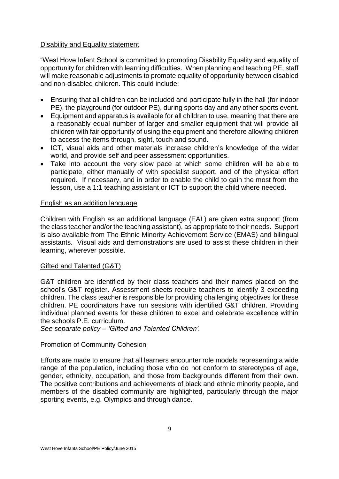## Disability and Equality statement

"West Hove Infant School is committed to promoting Disability Equality and equality of opportunity for children with learning difficulties. When planning and teaching PE, staff will make reasonable adjustments to promote equality of opportunity between disabled and non-disabled children. This could include:

- Ensuring that all children can be included and participate fully in the hall (for indoor PE), the playground (for outdoor PE), during sports day and any other sports event.
- Equipment and apparatus is available for all children to use, meaning that there are a reasonably equal number of larger and smaller equipment that will provide all children with fair opportunity of using the equipment and therefore allowing children to access the items through, sight, touch and sound.
- ICT, visual aids and other materials increase children's knowledge of the wider world, and provide self and peer assessment opportunities.
- Take into account the very slow pace at which some children will be able to participate, either manually of with specialist support, and of the physical effort required. If necessary, and in order to enable the child to gain the most from the lesson, use a 1:1 teaching assistant or ICT to support the child where needed.

#### English as an addition language

Children with English as an additional language (EAL) are given extra support (from the class teacher and/or the teaching assistant), as appropriate to their needs. Support is also available from The Ethnic Minority Achievement Service (EMAS) and bilingual assistants. Visual aids and demonstrations are used to assist these children in their learning, wherever possible.

## Gifted and Talented (G&T)

G&T children are identified by their class teachers and their names placed on the school's G&T register. Assessment sheets require teachers to identify 3 exceeding children. The class teacher is responsible for providing challenging objectives for these children. PE coordinators have run sessions with identified G&T children. Providing individual planned events for these children to excel and celebrate excellence within the schools P.E. curriculum.

*See separate policy – 'Gifted and Talented Children'.*

## Promotion of Community Cohesion

Efforts are made to ensure that all learners encounter role models representing a wide range of the population, including those who do not conform to stereotypes of age, gender, ethnicity, occupation, and those from backgrounds different from their own. The positive contributions and achievements of black and ethnic minority people, and members of the disabled community are highlighted, particularly through the major sporting events, e.g. Olympics and through dance.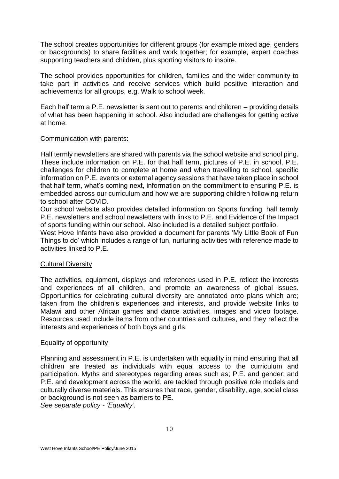The school creates opportunities for different groups (for example mixed age, genders or backgrounds) to share facilities and work together; for example, expert coaches supporting teachers and children, plus sporting visitors to inspire.

The school provides opportunities for children, families and the wider community to take part in activities and receive services which build positive interaction and achievements for all groups, e.g. Walk to school week.

Each half term a P.E. newsletter is sent out to parents and children – providing details of what has been happening in school. Also included are challenges for getting active at home.

## Communication with parents:

Half termly newsletters are shared with parents via the school website and school ping. These include information on P.E. for that half term, pictures of P.E. in school, P.E. challenges for children to complete at home and when travelling to school, specific information on P.E. events or external agency sessions that have taken place in school that half term, what's coming next, information on the commitment to ensuring P.E. is embedded across our curriculum and how we are supporting children following return to school after COVID.

Our school website also provides detailed information on Sports funding, half termly P.E. newsletters and school newsletters with links to P.E. and Evidence of the Impact of sports funding within our school. Also included is a detailed subject portfolio.

West Hove Infants have also provided a document for parents 'My Little Book of Fun Things to do' which includes a range of fun, nurturing activities with reference made to activities linked to P.E.

## Cultural Diversity

The activities, equipment, displays and references used in P.E. reflect the interests and experiences of all children, and promote an awareness of global issues. Opportunities for celebrating cultural diversity are annotated onto plans which are; taken from the children's experiences and interests, and provide website links to Malawi and other African games and dance activities, images and video footage. Resources used include items from other countries and cultures, and they reflect the interests and experiences of both boys and girls.

#### Equality of opportunity

Planning and assessment in P.E. is undertaken with equality in mind ensuring that all children are treated as individuals with equal access to the curriculum and participation. Myths and stereotypes regarding areas such as; P.E. and gender; and P.E. and development across the world, are tackled through positive role models and culturally diverse materials. This ensures that race, gender, disability, age, social class or background is not seen as barriers to PE.

*See separate policy - 'Equality'.*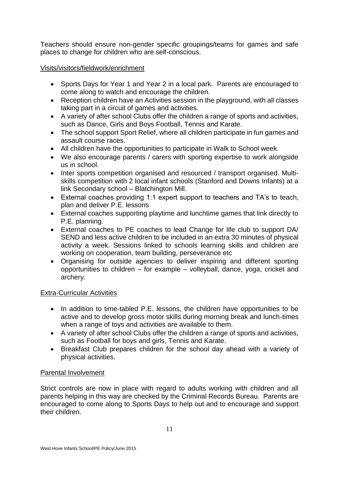Teachers should ensure non-gender specific groupings/teams for games and safe places to change for children who are self-conscious.

## Visits/visitors/fieldwork/enrichment

- Sports Days for Year 1 and Year 2 in a local park. Parents are encouraged to come along to watch and encourage the children.
- Reception children have an Activities session in the playground, with all classes taking part in a circuit of games and activities.
- A variety of after school Clubs offer the children a range of sports and activities, such as Dance, Girls and Boys Football, Tennis and Karate.
- The school support Sport Relief, where all children participate in fun games and assault course races.
- All children have the opportunities to participate in Walk to School week.
- We also encourage parents / carers with sporting expertise to work alongside us in school.
- Inter sports competition organised and resourced / transport organised. Multiskills competition with 2 local infant schools (Stanford and Downs Infants) at a link Secondary school – Blatchington Mill.
- External coaches providing 1:1 expert support to teachers and TA's to teach, plan and deliver P.E. lessons
- External coaches supporting playtime and lunchtime games that link directly to P.E. planning.
- External coaches to PE coaches to lead Change for life club to support DA/ SEND and less active children to be included in an extra 30 minutes of physical activity a week. Sessions linked to schools learning skills and children are working on cooperation, team building, perseverance etc
- Organising for outside agencies to deliver inspiring and different sporting opportunities to children – for example – volleyball, dance, yoga, cricket and archery.

## Extra-Curricular Activities

- In addition to time-tabled P.E. lessons, the children have opportunities to be active and to develop gross motor skills during morning break and lunch-times when a range of toys and activities are available to them.
- A variety of after school Clubs offer the children a range of sports and activities, such as Football for boys and girls, Tennis and Karate.
- Breakfast Club prepares children for the school day ahead with a variety of physical activities.

## Parental Involvement

Strict controls are now in place with regard to adults working with children and all parents helping in this way are checked by the Criminal Records Bureau. Parents are encouraged to come along to Sports Days to help out and to encourage and support their children.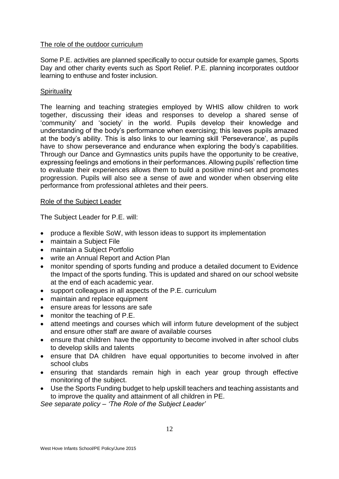## The role of the outdoor curriculum

Some P.E. activities are planned specifically to occur outside for example games, Sports Day and other charity events such as Sport Relief. P.E. planning incorporates outdoor learning to enthuse and foster inclusion.

## **Spirituality**

The learning and teaching strategies employed by WHIS allow children to work together, discussing their ideas and responses to develop a shared sense of 'community' and 'society' in the world. Pupils develop their knowledge and understanding of the body's performance when exercising; this leaves pupils amazed at the body's ability. This is also links to our learning skill 'Perseverance', as pupils have to show perseverance and endurance when exploring the body's capabilities. Through our Dance and Gymnastics units pupils have the opportunity to be creative, expressing feelings and emotions in their performances. Allowing pupils' reflection time to evaluate their experiences allows them to build a positive mind-set and promotes progression. Pupils will also see a sense of awe and wonder when observing elite performance from professional athletes and their peers.

## Role of the Subject Leader

The Subject Leader for P.E. will:

- produce a flexible SoW, with lesson ideas to support its implementation
- maintain a Subiect File
- maintain a Subiect Portfolio
- write an Annual Report and Action Plan
- monitor spending of sports funding and produce a detailed document to Evidence the Impact of the sports funding. This is updated and shared on our school website at the end of each academic year.
- support colleagues in all aspects of the P.E. curriculum
- maintain and replace equipment
- ensure areas for lessons are safe
- monitor the teaching of P.E.
- attend meetings and courses which will inform future development of the subject and ensure other staff are aware of available courses
- ensure that children have the opportunity to become involved in after school clubs to develop skills and talents
- ensure that DA children have equal opportunities to become involved in after school clubs
- ensuring that standards remain high in each year group through effective monitoring of the subject.
- Use the Sports Funding budget to help upskill teachers and teaching assistants and to improve the quality and attainment of all children in PE.

*See separate policy – 'The Role of the Subject Leader'*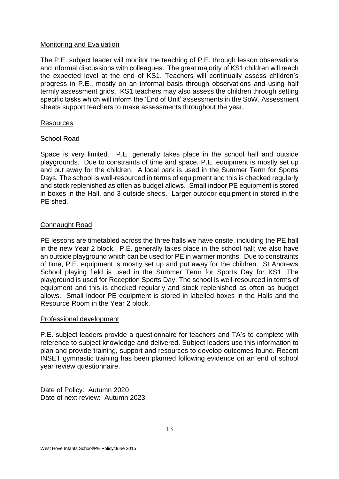## Monitoring and Evaluation

The P.E. subject leader will monitor the teaching of P.E. through lesson observations and informal discussions with colleagues. The great majority of KS1 children will reach the expected level at the end of KS1. Teachers will continually assess children's progress in P.E., mostly on an informal basis through observations and using half termly assessment grids. KS1 teachers may also assess the children through setting specific tasks which will inform the 'End of Unit' assessments in the SoW. Assessment sheets support teachers to make assessments throughout the year.

#### **Resources**

## School Road

Space is very limited. P.E. generally takes place in the school hall and outside playgrounds. Due to constraints of time and space, P.E. equipment is mostly set up and put away for the children. A local park is used in the Summer Term for Sports Days. The school is well-resourced in terms of equipment and this is checked regularly and stock replenished as often as budget allows. Small indoor PE equipment is stored in boxes in the Hall, and 3 outside sheds. Larger outdoor equipment in stored in the PE shed.

## Connaught Road

PE lessons are timetabled across the three halls we have onsite, including the PE hall in the new Year 2 block. P.E. generally takes place in the school hall; we also have an outside playground which can be used for PE in warmer months. Due to constraints of time, P.E. equipment is mostly set up and put away for the children. St Andrews School playing field is used in the Summer Term for Sports Day for KS1. The playground is used for Reception Sports Day. The school is well-resourced in terms of equipment and this is checked regularly and stock replenished as often as budget allows. Small indoor PE equipment is stored in labelled boxes in the Halls and the Resource Room in the Year 2 block.

#### Professional development

P.E. subject leaders provide a questionnaire for teachers and TA's to complete with reference to subject knowledge and delivered. Subject leaders use this information to plan and provide training, support and resources to develop outcomes found. Recent INSET gymnastic training has been planned following evidence on an end of school year review questionnaire.

Date of Policy: Autumn 2020 Date of next review: Autumn 2023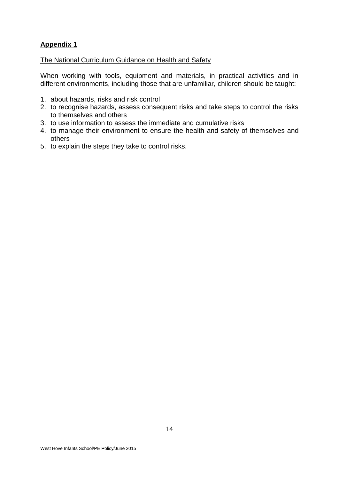## **Appendix 1**

The National Curriculum Guidance on Health and Safety

When working with tools, equipment and materials, in practical activities and in different environments, including those that are unfamiliar, children should be taught:

- 1. about hazards, risks and risk control
- 2. to recognise hazards, assess consequent risks and take steps to control the risks to themselves and others
- 3. to use information to assess the immediate and cumulative risks
- 4. to manage their environment to ensure the health and safety of themselves and others
- 5. to explain the steps they take to control risks.